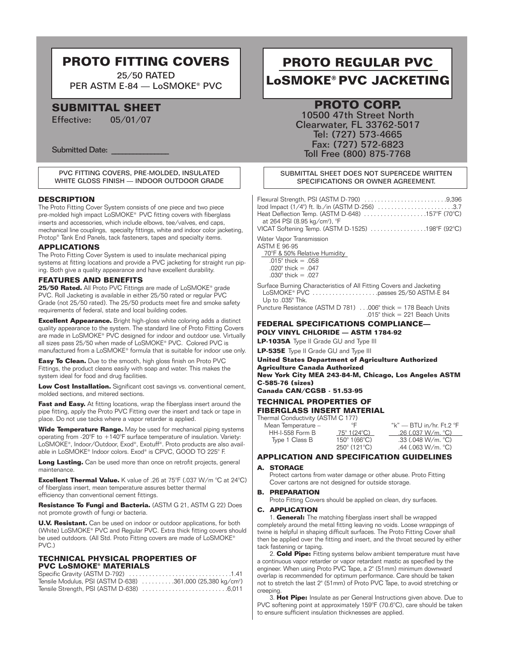## **PROTO FITTING COVERS**

25/50 RATED PER ASTM E-84 — LoSMOKE® PVC

## **SUBMITTAL SHEET**

Effective: 05/01/07

Submitted Date:

#### PVC FITTING COVERS, PRE-MOLDED, INSULATED WHITE GLOSS FINISH — INDOOR OUTDOOR GRADE

#### **DESCRIPTION**

The Proto Fitting Cover System consists of one piece and two piece pre-molded high impact LoSMOKE® PVC fitting covers with fiberglass inserts and accessories, which include elbows, tee/valves, end caps, mechanical line couplings, specialty fittings, white and indoor color jacketing, Protop® Tank End Panels, tack fasteners, tapes and specialty items.

#### **APPLICATIONS**

The Proto Fitting Cover System is used to insulate mechanical piping systems at fitting locations and provide a PVC jacketing for straight run piping. Both give a quality appearance and have excellent durability.

#### **FEATURES AND BENEFITS**

**25/50 Rated.** All Proto PVC Fittings are made of LoSMOKE® grade PVC. Roll Jacketing is available in either 25/50 rated or regular PVC Grade (not 25/50 rated). The 25/50 products meet fire and smoke safety requirements of federal, state and local building codes.

**Excellent Appearance.** Bright high-gloss white coloring adds a distinct quality appearance to the system. The standard line of Proto Fitting Covers are made in LoSMOKE® PVC designed for indoor and outdoor use. Virtually all sizes pass 25/50 when made of LoSMOKE® PVC. Colored PVC is manufactured from a LoSMOKE® formula that is suitable for indoor use only.

**Easy To Clean.** Due to the smooth, high gloss finish on Proto PVC Fittings, the product cleans easily with soap and water. This makes the system ideal for food and drug facilities.

**Low Cost Installation.** Significant cost savings vs. conventional cement, molded sections, and mitered sections.

**Fast and Easy.** At fitting locations, wrap the fiberglass insert around the pipe fitting, apply the Proto PVC Fitting over the insert and tack or tape in place. Do not use tacks where a vapor retarder is applied.

**Wide Temperature Range.** May be used for mechanical piping systems operating from -20°F to +140°F surface temperature of insulation. Variety: LoSMOKE®, Indoor/Outdoor, Exod®, Exotuff®. Proto products are also available in LoSMOKE® Indoor colors. Exod® is CPVC, GOOD TO 225° F.

Long Lasting. Can be used more than once on retrofit projects, general maintenance.

**Excellent Thermal Value.** K value of .26 at 75°F (.037 W/m °C at 24°C) of fiberglass insert, mean temperature assures better thermal efficiency than conventional cement fittings.

**Resistance To Fungi and Bacteria.** (ASTM G 21, ASTM G 22) Does not promote growth of fungi or bacteria.

**U.V. Resistant.** Can be used on indoor or outdoor applications, for both (White) LoSMOKE® PVC and Regular PVC. Extra thick fitting covers should be used outdoors. (All Std. Proto Fitting covers are made of LoSMOKE® PVC.)

#### **TECHNICAL PHYSICAL PROPERTIES OF PVC LoSMOKE® MATERIALS**

Specific Gravity (ASTM D-792) . . . . . . . . . . . . . . . . . . . . . . . . . . . . . . .1.41 Tensile Modulus, PSI (ASTM D-638) . . . . . . . . . . 361,000 (25,380 kg/cm<sup>2</sup>) Tensile Strength, PSI (ASTM D-638) . . . . . . . . . . . . . . . . . . . . . . . . . .6,011

# **PROTO REGULAR PVC LoSMOKE® PVC JACKETING**

### **PROTO CORP.**

10500 47th Street North Clearwater, FL 33762-5017 Tel: (727) 573-4665 Fax: (727) 572-6823 Toll Free (800) 875-7768

#### SUBMITTAL SHEET DOES NOT SUPERCEDE WRITTEN SPECIFICATIONS OR OWNER AGREEMENT.

| Heat Deflection Temp. (ASTM D-648) $\ldots \ldots \ldots \ldots \ldots \ldots \ldots 157^{\circ}$ F (70°C) |  |
|------------------------------------------------------------------------------------------------------------|--|
| at 264 PSI (8.95 kg/cm <sup>2</sup> ), °F<br>VICAT Softening Temp. (ASTM D-1525) 198°F (92°C)              |  |
| Water Vapor Transmission<br>ASTM E 96-95                                                                   |  |

70°F & 50% Relative Humidity

 $.015$ " thick = .058 .020" thick = .047 .030" thick = .027

Surface Burning Characteristics of All Fitting Covers and Jacketing LoSMOKE® PVC . . . . . . . . . . . . . . . . . . . .passes 25/50 ASTM-E 84 Up to .035" Thk.

Puncture Resistance (ASTM D 781) . . .006" thick = 178 Beach Units .015" thick = 221 Beach Units

#### **FEDERAL SPECIFICATIONS COMPLIANCE— POLY VINYL CHLORIDE — ASTM 1784-92**

**LP-1035A** Type II Grade GU and Type III

**LP-535E** Type II Grade GU and Type III

**United States Department of Agriculture Authorized Agriculture Canada Authorized New York City MEA 243-84-M, Chicago, Los Angeles ASTM C-585-76 (sizes)**

**Canada CAN/CGSB - 51.53-95**

#### **TECHNICAL PROPERTIES OF FIBERGLASS INSERT MATERIAL**

Thermal Conductivity (ASTM C 177)<br>Mean Temperature – <sup>°</sup>F

Nean Temperature – <sup>°</sup>F "k" — BTU in/hr. Ft.2 °F<br>HH-I-558 Form B 75° 1(24°C) 26 (.037 W/m. °C) HH-I-558 Form B 75° 1(24°C) .26 (.037 W/m. °C) 150° 1 (66°C) .33 (.048 W/m. °C)<br>250° 121 °C) .44 (.063 W/m. °C) 250° (121°C) .44 (.063 W/m. °C)

#### **APPLICATION AND SPECIFICATION GUIDELINES**

#### **A. STORAGE**

Protect cartons from water damage or other abuse. Proto Fitting Cover cartons are not designed for outside storage.

#### **B. PREPARATION**

Proto Fitting Covers should be applied on clean, dry surfaces.

#### **C. APPLICATION**

1. **General:** The matching fiberglass insert shall be wrapped completely around the metal fitting leaving no voids. Loose wrappings of twine is helpful in shaping difficult surfaces. The Proto Fitting Cover shall then be applied over the fitting and insert, and the throat secured by either tack fastening or taping.

2. **Cold Pipe:** Fitting systems below ambient temperature must have a continuous vapor retarder or vapor retardant mastic as specified by the engineer. When using Proto PVC Tape, a 2" (51mm) minimum downward overlap is recommended for optimum performance. Care should be taken not to stretch the last 2" (51mm) of Proto PVC Tape, to avoid stretching or creeping.

3. **Hot Pipe:** Insulate as per General Instructions given above. Due to PVC softening point at approximately 159°F (70.6°C), care should be taken to ensure sufficient insulation thicknesses are applied.